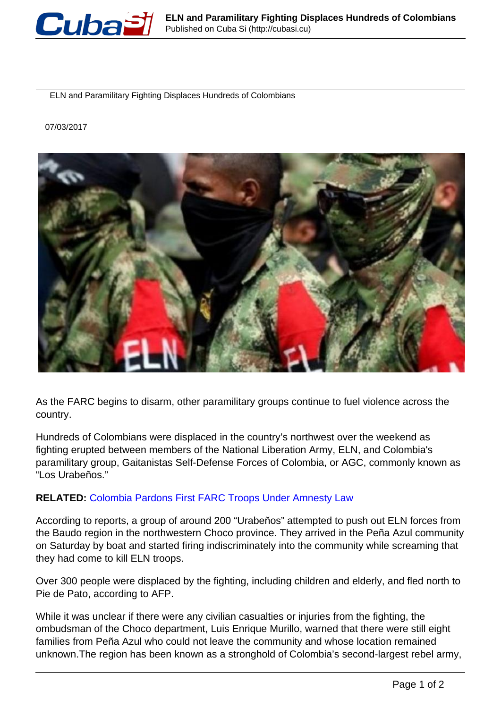

ELN and Paramilitary Fighting Displaces Hundreds of Colombians

07/03/2017



As the FARC begins to disarm, other paramilitary groups continue to fuel violence across the country.

Hundreds of Colombians were displaced in the country's northwest over the weekend as fighting erupted between members of the National Liberation Army, ELN, and Colombia's paramilitary group, Gaitanistas Self-Defense Forces of Colombia, or AGC, commonly known as "Los Urabeños."

## **RELATED:** [Colombia Pardons First FARC Troops Under Amnesty Law](http://www.telesurtv.net/english/news/Colombia-Pardons-First-FARC-Troops-Under-Amnesty-Law-20170228-0002.html)

According to reports, a group of around 200 "Urabeños" attempted to push out ELN forces from the Baudo region in the northwestern Choco province. They arrived in the Peña Azul community on Saturday by boat and started firing indiscriminately into the community while screaming that they had come to kill ELN troops.

Over 300 people were displaced by the fighting, including children and elderly, and fled north to Pie de Pato, according to AFP.

While it was unclear if there were any civilian casualties or injuries from the fighting, the ombudsman of the Choco department, Luis Enrique Murillo, warned that there were still eight families from Peña Azul who could not leave the community and whose location remained unknown.The region has been known as a stronghold of Colombia's second-largest rebel army,